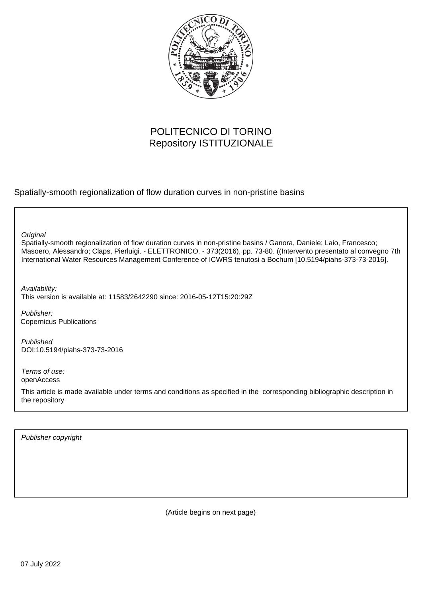

# POLITECNICO DI TORINO Repository ISTITUZIONALE

Spatially-smooth regionalization of flow duration curves in non-pristine basins

**Original** 

Spatially-smooth regionalization of flow duration curves in non-pristine basins / Ganora, Daniele; Laio, Francesco; Masoero, Alessandro; Claps, Pierluigi. - ELETTRONICO. - 373(2016), pp. 73-80. ((Intervento presentato al convegno 7th International Water Resources Management Conference of ICWRS tenutosi a Bochum [10.5194/piahs-373-73-2016].

Availability: This version is available at: 11583/2642290 since: 2016-05-12T15:20:29Z

Publisher: Copernicus Publications

Published DOI:10.5194/piahs-373-73-2016

Terms of use: openAccess

This article is made available under terms and conditions as specified in the corresponding bibliographic description in the repository

Publisher copyright

(Article begins on next page)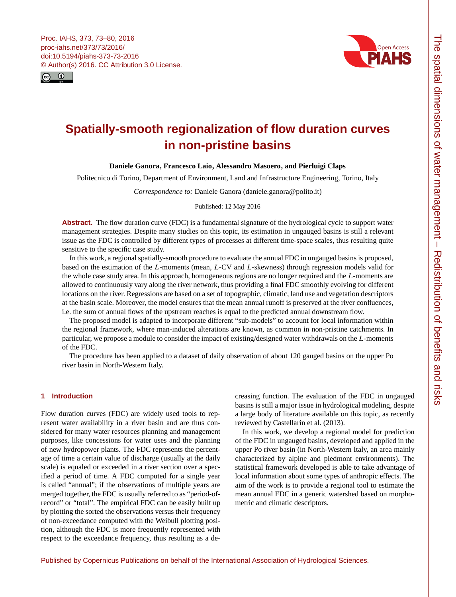



# **Spatially-smooth regionalization of flow duration curves in non-pristine basins**

# **Daniele Ganora, Francesco Laio, Alessandro Masoero, and Pierluigi Claps**

Politecnico di Torino, Department of Environment, Land and Infrastructure Engineering, Torino, Italy

*Correspondence to:* Daniele Ganora (daniele.ganora@polito.it)

Published: 12 May 2016

Abstract. The flow duration curve (FDC) is a fundamental signature of the hydrological cycle to support water management strategies. Despite many studies on this topic, its estimation in ungauged basins is still a relevant issue as the FDC is controlled by different types of processes at different time-space scales, thus resulting quite sensitive to the specific case study.

In this work, a regional spatially-smooth procedure to evaluate the annual FDC in ungauged basins is proposed, based on the estimation of the L-moments (mean, L-CV and L-skewness) through regression models valid for the whole case study area. In this approach, homogeneous regions are no longer required and the L-moments are allowed to continuously vary along the river network, thus providing a final FDC smoothly evolving for different locations on the river. Regressions are based on a set of topographic, climatic, land use and vegetation descriptors at the basin scale. Moreover, the model ensures that the mean annual runoff is preserved at the river confluences, i.e. the sum of annual flows of the upstream reaches is equal to the predicted annual downstream flow.

The proposed model is adapted to incorporate different "sub-models" to account for local information within the regional framework, where man-induced alterations are known, as common in non-pristine catchments. In particular, we propose a module to consider the impact of existing/designed water withdrawals on the L-moments of the FDC.

The procedure has been applied to a dataset of daily observation of about 120 gauged basins on the upper Po river basin in North-Western Italy.

# **1 Introduction**

Flow duration curves (FDC) are widely used tools to represent water availability in a river basin and are thus considered for many water resources planning and management purposes, like concessions for water uses and the planning of new hydropower plants. The FDC represents the percentage of time a certain value of discharge (usually at the daily scale) is equaled or exceeded in a river section over a specified a period of time. A FDC computed for a single year is called "annual"; if the observations of multiple years are merged together, the FDC is usually referred to as "period-ofrecord" or "total". The empirical FDC can be easily built up by plotting the sorted the observations versus their frequency of non-exceedance computed with the Weibull plotting position, although the FDC is more frequently represented with respect to the exceedance frequency, thus resulting as a decreasing function. The evaluation of the FDC in ungauged basins is still a major issue in hydrological modeling, despite a large body of literature available on this topic, as recently reviewed by Castellarin et al. (2013).

In this work, we develop a regional model for prediction of the FDC in ungauged basins, developed and applied in the upper Po river basin (in North-Western Italy, an area mainly characterized by alpine and piedmont environments). The statistical framework developed is able to take advantage of local information about some types of anthropic effects. The aim of the work is to provide a regional tool to estimate the mean annual FDC in a generic watershed based on morphometric and climatic descriptors.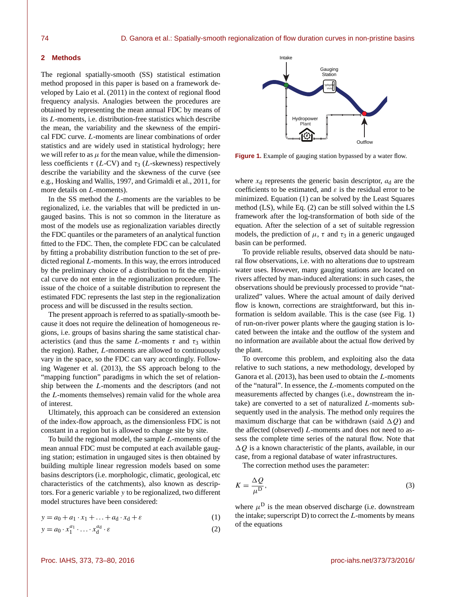#### **2 Methods**

The regional spatially-smooth (SS) statistical estimation method proposed in this paper is based on a framework developed by Laio et al. (2011) in the context of regional flood frequency analysis. Analogies between the procedures are obtained by representing the mean annual FDC by means of its L-moments, i.e. distribution-free statistics which describe the mean, the variability and the skewness of the empirical FDC curve. L-moments are linear combinations of order statistics and are widely used in statistical hydrology; here we will refer to as  $\mu$  for the mean value, while the dimensionless coefficients  $\tau$  (L-CV) and  $\tau_3$  (L-skewness) respectively describe the variability and the skewness of the curve (see e.g., Hosking and Wallis, 1997, and Grimaldi et al., 2011, for more details on L-moments).

In the SS method the L-moments are the variables to be regionalized, i.e. the variables that will be predicted in ungauged basins. This is not so common in the literature as most of the models use as regionalization variables directly the FDC quantiles or the parameters of an analytical function fitted to the FDC. Then, the complete FDC can be calculated by fitting a probability distribution function to the set of predicted regional L-moments. In this way, the errors introduced by the preliminary choice of a distribution to fit the empirical curve do not enter in the regionalization procedure. The issue of the choice of a suitable distribution to represent the estimated FDC represents the last step in the regionalization process and will be discussed in the results section.

The present approach is referred to as spatially-smooth because it does not require the delineation of homogeneous regions, i.e. groups of basins sharing the same statistical characteristics (and thus the same L-moments  $\tau$  and  $\tau_3$  within the region). Rather, L-moments are allowed to continuously vary in the space, so the FDC can vary accordingly. Following Wagener et al. (2013), the SS approach belong to the "mapping function" paradigms in which the set of relationship between the L-moments and the descriptors (and not the L-moments themselves) remain valid for the whole area of interest.

Ultimately, this approach can be considered an extension of the index-flow approach, as the dimensionless FDC is not constant in a region but is allowed to change site by site.

To build the regional model, the sample L-moments of the mean annual FDC must be computed at each available gauging station; estimation in ungauged sites is then obtained by building multiple linear regression models based on some basins descriptors (i.e. morphologic, climatic, geological, etc characteristics of the catchments), also known as descriptors. For a generic variable y to be regionalized, two different model structures have been considered:

$$
y = a_0 + a_1 \cdot x_1 + \ldots + a_d \cdot x_d + \varepsilon \tag{1}
$$

$$
y = a_0 \cdot x_1^{a_1} \cdot \ldots \cdot x_d^{a_d} \cdot \varepsilon \tag{2}
$$



**Figure 1.** Example of gauging station bypassed by a water flow.

where  $x_d$  represents the generic basin descriptor,  $a_d$  are the coefficients to be estimated, and  $\varepsilon$  is the residual error to be minimized. Equation (1) can be solved by the Least Squares method (LS), while Eq. (2) can be still solved within the LS framework after the log-transformation of both side of the equation. After the selection of a set of suitable regression models, the prediction of  $\mu$ ,  $\tau$  and  $\tau_3$  in a generic ungauged basin can be performed.

To provide reliable results, observed data should be natural flow observations, i.e. with no alterations due to upstream water uses. However, many gauging stations are located on rivers affected by man-induced alterations: in such cases, the observations should be previously processed to provide "naturalized" values. Where the actual amount of daily derived flow is known, corrections are straightforward, but this information is seldom available. This is the case (see Fig. 1) of run-on-river power plants where the gauging station is located between the intake and the outflow of the system and no information are available about the actual flow derived by the plant.

To overcome this problem, and exploiting also the data relative to such stations, a new methodology, developed by Ganora et al.  $(2013)$ , has been used to obtain the  $L$ -moments of the "natural". In essence, the L-moments computed on the measurements affected by changes (i.e., downstream the intake) are converted to a set of naturalized L-moments subsequently used in the analysis. The method only requires the maximum discharge that can be withdrawn (said  $\Delta Q$ ) and the affected (observed) L-moments and does not need to assess the complete time series of the natural flow. Note that  $\Delta Q$  is a known characteristic of the plants, available, in our case, from a regional database of water infrastructures.

The correction method uses the parameter:

$$
K = \frac{\Delta Q}{\mu^{\mathcal{D}}},\tag{3}
$$

where  $\mu^D$  is the mean observed discharge (i.e. downstream the intake; superscript  $D$ ) to correct the  $L$ -moments by means of the equations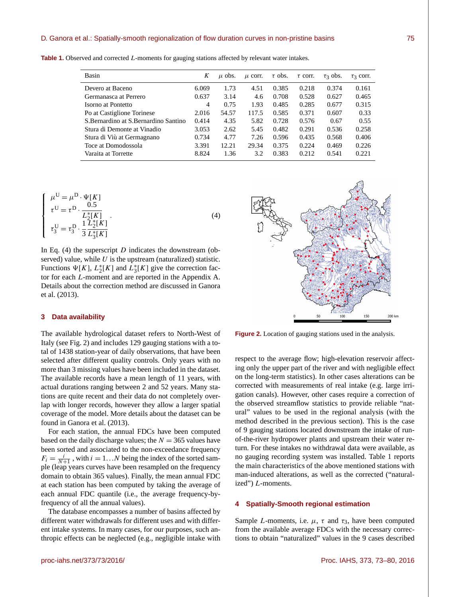#### D. Ganora et al.: Spatially-smooth regionalization of flow duration curves in non-pristine basins 75

**Table 1.** Observed and corrected L-moments for gauging stations affected by relevant water intakes.

| Basin                                  | K     | $\mu$ obs. | $\mu$ corr. | $\tau$ obs. | $\tau$ corr. | $\tau_3$ obs. | $\tau$ 3 corr. |
|----------------------------------------|-------|------------|-------------|-------------|--------------|---------------|----------------|
| Devero at Baceno                       | 6.069 | 1.73       | 4.51        | 0.385       | 0.218        | 0.374         | 0.161          |
| Germanasca at Perrero                  | 0.637 | 3.14       | 4.6         | 0.708       | 0.528        | 0.627         | 0.465          |
| Isorno at Pontetto                     | 4     | 0.75       | 1.93        | 0.485       | 0.285        | 0.677         | 0.315          |
| Po at Castiglione Torinese             | 2.016 | 54.57      | 117.5       | 0.585       | 0.371        | 0.607         | 0.33           |
| S. Bernardino at S. Bernardino Santino | 0.414 | 4.35       | 5.82        | 0.728       | 0.576        | 0.67          | 0.55           |
| Stura di Demonte at Vinadio            | 3.053 | 2.62       | 5.45        | 0.482       | 0.291        | 0.536         | 0.258          |
| Stura di Viù at Germagnano             | 0.734 | 4.77       | 7.26        | 0.596       | 0.435        | 0.568         | 0.406          |
| Toce at Domodossola                    | 3.391 | 12.21      | 29.34       | 0.375       | 0.224        | 0.469         | 0.226          |
| Varaita at Torrette                    | 8.824 | 1.36       | 3.2         | 0.383       | 0.212        | 0.541         | 0.221          |

$$
\begin{cases}\n\mu^{\text{U}} = \mu^{\text{D}} \cdot \Psi[K] \\
\tau^{\text{U}} = \tau^{\text{D}} \cdot \frac{0.5}{L_2^*[K]} \\
\tau_3^{\text{U}} = \tau_3^{\text{D}} \cdot \frac{1}{3} \frac{L_2^*[K]}{L_3^*[K]}\n\end{cases} (4)
$$

In Eq.  $(4)$  the superscript D indicates the downstream (observed) value, while  $U$  is the upstream (naturalized) statistic. Functions  $\Psi[K]$ ,  $L_2^*[K]$  and  $L_3^*[K]$  give the correction factor for each L-moment and are reported in the Appendix A. Details about the correction method are discussed in Ganora et al. (2013).

## **3 Data availability**

The available hydrological dataset refers to North-West of Italy (see Fig. 2) and includes 129 gauging stations with a total of 1438 station-year of daily observations, that have been selected after different quality controls. Only years with no more than 3 missing values have been included in the dataset. The available records have a mean length of 11 years, with actual durations ranging between 2 and 52 years. Many stations are quite recent and their data do not completely overlap with longer records, however they allow a larger spatial coverage of the model. More details about the dataset can be found in Ganora et al. (2013).

For each station, the annual FDCs have been computed based on the daily discharge values; the  $N = 365$  values have been sorted and associated to the non-exceedance frequency  $F_i = \frac{i}{N+1}$ , with  $i = 1...N$  being the index of the sorted sample (leap years curves have been resampled on the frequency domain to obtain 365 values). Finally, the mean annual FDC at each station has been computed by taking the average of each annual FDC quantile (i.e., the average frequency-byfrequency of all the annual values).

The database encompasses a number of basins affected by different water withdrawals for different uses and with different intake systems. In many cases, for our purposes, such anthropic effects can be neglected (e.g., negligible intake with



**Figure 2.** Location of gauging stations used in the analysis.

respect to the average flow; high-elevation reservoir affecting only the upper part of the river and with negligible effect on the long-term statistics). In other cases alterations can be corrected with measurements of real intake (e.g. large irrigation canals). However, other cases require a correction of the observed streamflow statistics to provide reliable "natural" values to be used in the regional analysis (with the method described in the previous section). This is the case of 9 gauging stations located downstream the intake of runof-the-river hydropower plants and upstream their water return. For these intakes no withdrawal data were available, as no gauging recording system was installed. Table 1 reports the main characteristics of the above mentioned stations with man-induced alterations, as well as the corrected ("naturalized") L-moments.

#### **4 Spatially-Smooth regional estimation**

Sample L-moments, i.e.  $\mu$ ,  $\tau$  and  $\tau_3$ , have been computed from the available average FDCs with the necessary corrections to obtain "naturalized" values in the 9 cases described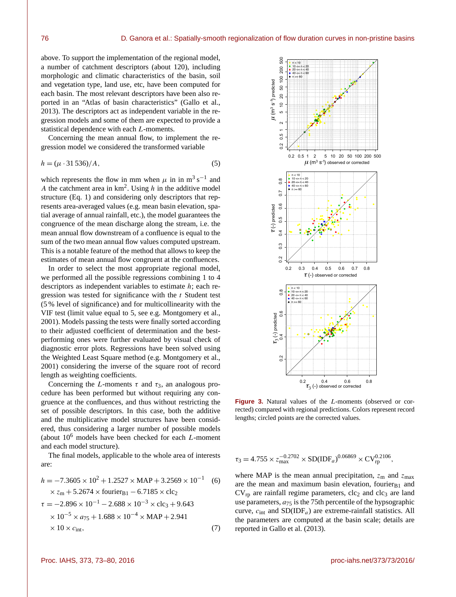above. To support the implementation of the regional model, a number of catchment descriptors (about 120), including morphologic and climatic characteristics of the basin, soil and vegetation type, land use, etc, have been computed for each basin. The most relevant descriptors have been also reported in an "Atlas of basin characteristics" (Gallo et al., 2013). The descriptors act as independent variable in the regression models and some of them are expected to provide a statistical dependence with each L-moments.

Concerning the mean annual flow, to implement the regression model we considered the transformed variable

$$
h = (\mu \cdot 31\,536)/A,\tag{5}
$$

which represents the flow in mm when  $\mu$  in in m<sup>3</sup> s<sup>-1</sup> and A the catchment area in  $km^2$ . Using h in the additive model structure (Eq. 1) and considering only descriptors that represents area-averaged values (e.g. mean basin elevation, spatial average of annual rainfall, etc.), the model guarantees the congruence of the mean discharge along the stream, i.e. the mean annual flow downstream of a confluence is equal to the sum of the two mean annual flow values computed upstream. This is a notable feature of the method that allows to keep the estimates of mean annual flow congruent at the confluences.

In order to select the most appropriate regional model, we performed all the possible regressions combining 1 to 4 descriptors as independent variables to estimate h; each regression was tested for significance with the  $t$  Student test (5 % level of significance) and for multicollinearity with the VIF test (limit value equal to 5, see e.g. Montgomery et al., 2001). Models passing the tests were finally sorted according to their adjusted coefficient of determination and the bestperforming ones were further evaluated by visual check of diagnostic error plots. Regressions have been solved using the Weighted Least Square method (e.g. Montgomery et al., 2001) considering the inverse of the square root of record length as weighting coefficients.

Concerning the L-moments  $\tau$  and  $\tau_3$ , an analogous procedure has been performed but without requiring any congruence at the confluences, and thus without restricting the set of possible descriptors. In this case, both the additive and the multiplicative model structures have been considered, thus considering a larger number of possible models (about  $10^6$  models have been checked for each  $L$ -moment and each model structure).

The final models, applicable to the whole area of interests are:

$$
h = -7.3605 \times 10^{2} + 1.2527 \times \text{MAP} + 3.2569 \times 10^{-1} \quad (6)
$$
  
\n
$$
\times z_{\text{m}} + 5.2674 \times \text{fourier}_{\text{B1}} - 6.7185 \times \text{clc}_{2}
$$
  
\n
$$
\tau = -2.896 \times 10^{-1} - 2.688 \times 10^{-3} \times \text{clc}_{3} + 9.643
$$
  
\n
$$
\times 10^{-5} \times a_{75} + 1.688 \times 10^{-4} \times \text{MAP} + 2.941
$$
  
\n
$$
\times 10 \times c_{\text{int}},
$$
 (7)



**Figure 3.** Natural values of the L-moments (observed or corrected) compared with regional predictions. Colors represent record lengths; circled points are the corrected values.

$$
\tau_3 = 4.755 \times z_{\text{max}}^{-0.2702} \times SD(IDF_a)^{0.06869} \times CV_{rp}^{0.2106},
$$

where MAP is the mean annual precipitation,  $z<sub>m</sub>$  and  $z<sub>max</sub>$ are the mean and maximum basin elevation, fourier $B_1$  and  $CV<sub>rp</sub>$  are rainfall regime parameters,  $clc<sub>2</sub>$  and  $clc<sub>3</sub>$  are land use parameters,  $a_{75}$  is the 75th percentile of the hypsographic curve,  $c_{\text{int}}$  and  $SD(IDF_a)$  are extreme-rainfall statistics. All the parameters are computed at the basin scale; details are reported in Gallo et al. (2013).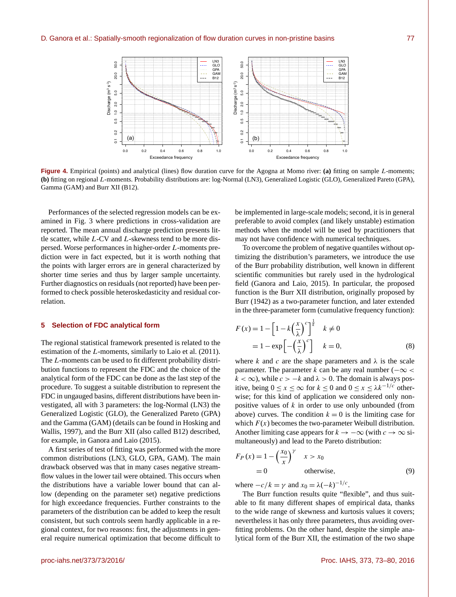

**Figure 4.** Empirical (points) and analytical (lines) flow duration curve for the Agogna at Momo river: **(a)** fitting on sample L-moments; **(b)** fitting on regional L-moments. Probability distributions are: log-Normal (LN3), Generalized Logistic (GLO), Generalized Pareto (GPA), Gamma (GAM) and Burr XII (B12).

Performances of the selected regression models can be examined in Fig. 3 where predictions in cross-validation are reported. The mean annual discharge prediction presents little scatter, while L-CV and L-skewness tend to be more dispersed. Worse performances in higher-order L-moments prediction were in fact expected, but it is worth nothing that the points with larger errors are in general characterized by shorter time series and thus by larger sample uncertainty. Further diagnostics on residuals (not reported) have been performed to check possible heteroskedasticity and residual correlation.

#### **5 Selection of FDC analytical form**

The regional statistical framework presented is related to the estimation of the L-moments, similarly to Laio et al. (2011). The L-moments can be used to fit different probability distribution functions to represent the FDC and the choice of the analytical form of the FDC can be done as the last step of the procedure. To suggest a suitable distribution to represent the FDC in ungauged basins, different distributions have been investigated, all with 3 parameters: the log-Normal (LN3) the Generalized Logistic (GLO), the Generalized Pareto (GPA) and the Gamma (GAM) (details can be found in Hosking and Wallis, 1997), and the Burr XII (also called B12) described, for example, in Ganora and Laio (2015).

A first series of test of fitting was performed with the more common distributions (LN3, GLO, GPA, GAM). The main drawback observed was that in many cases negative streamflow values in the lower tail were obtained. This occurs when the distributions have a variable lower bound that can allow (depending on the parameter set) negative predictions for high exceedance frequencies. Further constraints to the parameters of the distribution can be added to keep the result consistent, but such controls seem hardly applicable in a regional context, for two reasons: first, the adjustments in general require numerical optimization that become difficult to be implemented in large-scale models; second, it is in general preferable to avoid complex (and likely unstable) estimation methods when the model will be used by practitioners that may not have confidence with numerical techniques.

To overcome the problem of negative quantiles without optimizing the distribution's parameters, we introduce the use of the Burr probability distribution, well known in different scientific communities but rarely used in the hydrological field (Ganora and Laio, 2015). In particular, the proposed function is the Burr XII distribution, originally proposed by Burr (1942) as a two-parameter function, and later extended in the three-parameter form (cumulative frequency function):

$$
F(x) = 1 - \left[1 - k\left(\frac{x}{\lambda}\right)^c\right]^{\frac{1}{k}} \quad k \neq 0
$$
  
= 1 - exp\left[-\left(\frac{x}{\lambda}\right)^c\right] \quad k = 0, \tag{8}

where k and c are the shape parameters and  $\lambda$  is the scale parameter. The parameter k can be any real number ( $-\infty$  <  $k < \infty$ ), while  $c > -k$  and  $\lambda > 0$ . The domain is always positive, being  $0 \le x \le \infty$  for  $k \le 0$  and  $0 \le x \le \lambda k^{-1/c}$  otherwise; for this kind of application we considered only nonpositive values of  $k$  in order to use only unbounded (from above) curves. The condition  $k = 0$  is the limiting case for which  $F(x)$  becomes the two-parameter Weibull distribution. Another limiting case appears for  $k \to -\infty$  (with  $c \to \infty$  simultaneously) and lead to the Pareto distribution:

$$
F_P(x) = 1 - \left(\frac{x_0}{x}\right)^{\gamma} \quad x > x_0
$$
  
= 0 otherwise, (9)

where  $-c/k = \gamma$  and  $x_0 = \lambda(-k)^{-1/c}$ .

The Burr function results quite "flexible", and thus suitable to fit many different shapes of empirical data, thanks to the wide range of skewness and kurtosis values it covers; nevertheless it has only three parameters, thus avoiding overfitting problems. On the other hand, despite the simple analytical form of the Burr XII, the estimation of the two shape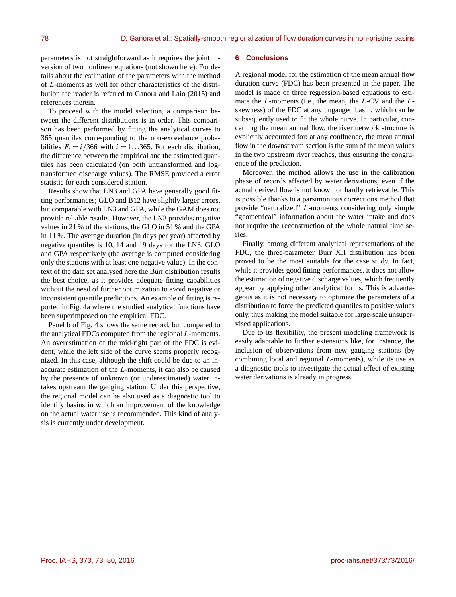parameters is not straightforward as it requires the joint inversion of two nonlinear equations (not shown here). For details about the estimation of the parameters with the method of L-moments as well for other characteristics of the distribution the reader is referred to Ganora and Laio (2015) and references therein.

To proceed with the model selection, a comparison between the different distributions is in order. This comparison has been performed by fitting the analytical curves to 365 quantiles corresponding to the non-exceedance probabilities  $F_i = i/366$  with  $i = 1...365$ . For each distribution, the difference between the empirical and the estimated quantiles has been calculated (on both untransformed and logtransformed discharge values). The RMSE provided a error statistic for each considered station.

Results show that LN3 and GPA have generally good fitting performances; GLO and B12 have slightly larger errors, but comparable with LN3 and GPA, while the GAM does not provide reliable results. However, the LN3 provides negative values in 21 % of the stations, the GLO in 51 % and the GPA in 11 %. The average duration (in days per year) affected by negative quantiles is 10, 14 and 19 days for the LN3, GLO and GPA respectively (the average is computed considering only the stations with at least one negative value). In the context of the data set analysed here the Burr distribution results the best choice, as it provides adequate fitting capabilities without the need of further optimization to avoid negative or inconsistent quantile predictions. An example of fitting is reported in Fig. 4a where the studied analytical functions have been superimposed on the empirical FDC.

Panel b of Fig. 4 shows the same record, but compared to the analytical FDCs computed from the regional L-moments. An overestimation of the mid-right part of the FDC is evident, while the left side of the curve seems properly recognized. In this case, although the shift could be due to an inaccurate estimation of the L-moments, it can also be caused by the presence of unknown (or underestimated) water intakes upstream the gauging station. Under this perspective, the regional model can be also used as a diagnostic tool to identify basins in which an improvement of the knowledge on the actual water use is recommended. This kind of analysis is currently under development.

## **6 Conclusions**

A regional model for the estimation of the mean annual flow duration curve (FDC) has been presented in the paper. The model is made of three regression-based equations to estimate the  $L$ -moments (i.e., the mean, the  $L$ -CV and the  $L$ skewness) of the FDC at any ungauged basin, which can be subsequently used to fit the whole curve. In particular, concerning the mean annual flow, the river network structure is explicitly accounted for: at any confluence, the mean annual flow in the downstream section is the sum of the mean values in the two upstream river reaches, thus ensuring the congruence of the prediction.

Moreover, the method allows the use in the calibration phase of records affected by water derivations, even if the actual derived flow is not known or hardly retrievable. This is possible thanks to a parsimonious corrections method that provide "naturalized" L-moments considering only simple "geometrical" information about the water intake and does not require the reconstruction of the whole natural time series.

Finally, among different analytical representations of the FDC, the three-parameter Burr XII distribution has been proved to be the most suitable for the case study. In fact, while it provides good fitting performances, it does not allow the estimation of negative discharge values, which frequently appear by applying other analytical forms. This is advantageous as it is not necessary to optimize the parameters of a distribution to force the predicted quantiles to positive values only, thus making the model suitable for large-scale unsupervised applications.

Due to its flexibility, the present modeling framework is easily adaptable to further extensions like, for instance, the inclusion of observations from new gauging stations (by combining local and regional L-moments), while its use as a diagnostic tools to investigate the actual effect of existing water derivations is already in progress.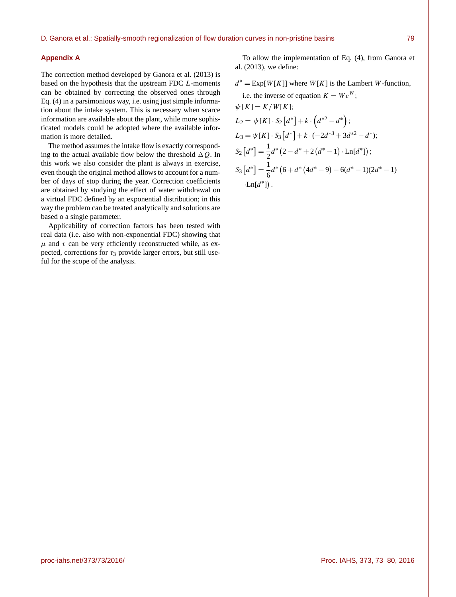#### **Appendix A**

The correction method developed by Ganora et al. (2013) is based on the hypothesis that the upstream FDC L-moments can be obtained by correcting the observed ones through Eq. (4) in a parsimonious way, i.e. using just simple information about the intake system. This is necessary when scarce information are available about the plant, while more sophisticated models could be adopted where the available information is more detailed.

The method assumes the intake flow is exactly corresponding to the actual available flow below the threshold  $\Delta Q$ . In this work we also consider the plant is always in exercise, even though the original method allows to account for a number of days of stop during the year. Correction coefficients are obtained by studying the effect of water withdrawal on a virtual FDC defined by an exponential distribution; in this way the problem can be treated analytically and solutions are based o a single parameter.

Applicability of correction factors has been tested with real data (i.e. also with non-exponential FDC) showing that  $\mu$  and  $\tau$  can be very efficiently reconstructed while, as expected, corrections for  $\tau_3$  provide larger errors, but still useful for the scope of the analysis.

To allow the implementation of Eq. (4), from Ganora et al. (2013), we define:

 $d^* = \text{Exp}[W[K]]$  where  $W[K]$  is the Lambert W-function,

i.e. the inverse of equation 
$$
K = We^W
$$
;  
\n $\psi [K] = K/W[K]$ ;  
\n $L_2 = \psi [K] \cdot S_2 [d^*] + k \cdot (d^{*2} - d^*)$ ;  
\n $L_3 = \psi [K] \cdot S_3 [d^*] + k \cdot (-2d^{*3} + 3d^{*2} - d^*)$ ;  
\n $S_2 [d^*] = \frac{1}{2}d^*(2 - d^* + 2(d^* - 1) \cdot \text{Ln}[d^*])$ ;  
\n $S_3 [d^*] = \frac{1}{6}d^*(6 + d^*(4d^* - 9) - 6(d^* - 1)(2d^* - 1)$   
\n $\cdot \text{Ln}[d^*]$ ).